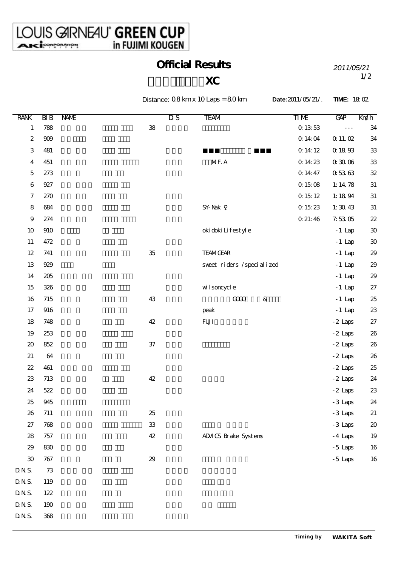$DNS.$  368

## Official Results *2011/05/21*

## $\mathbf{XC}$  1/2

Distance: 0.8 km x 10 Laps = 8.0 km **Date:**2011/05/21/. **TIME:** 18:02.

| <b>RANK</b>             | BIB    | NAME       | $\overline{\mathbf{u}}$ s | <b>TEAM</b>                 | <b>TIME</b>                           | GAP                  | Kn⁄ih                      |
|-------------------------|--------|------------|---------------------------|-----------------------------|---------------------------------------|----------------------|----------------------------|
| $\mathbf{1}$            | 788    | ${\bf 38}$ |                           |                             | $\boldsymbol{0}$ 13 53                | $\omega \neq \omega$ | 34                         |
| $\boldsymbol{2}$        | $909$  |            |                           |                             | $0.14\,04$                            | $\Omega$ 11. $02$    | 34                         |
| $\,3$                   | 481    |            |                           |                             | $\alpha$ 14:12                        | $\alpha$ 18 $93$     | 33                         |
| $\overline{\mathbf{4}}$ | 451    |            |                           | MF. A                       | $0.1423\,$                            | $0.30\,06$           | 33                         |
| $\mathbf 5$             | 273    |            |                           |                             | $\mathrm{O}\,$ 14:47                  | $0.53\;63$           | $32\,$                     |
| $\,6\,$                 | 927    |            |                           |                             | $\boldsymbol{0}$ 15 $0\boldsymbol{8}$ | 1:14 $78$            | $31\,$                     |
| $\boldsymbol{7}$        | 270    |            |                           |                             | $\alpha$ 15 12                        | 1:1894               | $3\!1$                     |
| $\bf 8$                 | 684    |            |                           | ${\sf SY}$ Nak              | $0\;15\;23$                           | 1:3043               | $31\,$                     |
| $\boldsymbol{9}$        | 274    |            |                           |                             | $0$ 21: $46\,$                        | 7.5305               | 22                         |
| $10$                    | 910    |            |                           | oki doki Lifestyle          |                                       | $-1$ Lap             | $30\,$                     |
| 11                      | 472    |            |                           |                             |                                       | $-1$ Lap             | $30\,$                     |
| $12\,$                  | 741    | $35\,$     |                           | <b>TEAMGEAR</b>             |                                       | $-1$ Lap             | 29                         |
| 13                      | 929    |            |                           | sweet riders /specialized   |                                       | $-1$ Lap             | 29                         |
| 14                      | 205    |            |                           |                             |                                       | $-1$ Lap             | $29\,$                     |
| $15\,$                  | 326    |            |                           | wilsoncycle                 |                                       | $-1$ Lap             | $27\,$                     |
| $16\,$                  | 715    | 43         |                           | <b>COO</b><br>$\&$          |                                       | $-1$ Lap             | 25                         |
| 17                      | 916    |            |                           | peak                        |                                       | $-1$ Lap             | $23\,$                     |
| 18                      | 748    | $42\,$     |                           | ${\bf FUI}$                 |                                       | $-2$ Laps            | $27\,$                     |
| 19                      | 253    |            |                           |                             |                                       | $-2$ Laps            | $26\,$                     |
| $\pmb{\mathcal{Z}}$     | 852    | $37\,$     |                           |                             |                                       | $-2$ Laps            | $26\,$                     |
| 21                      | $64\,$ |            |                           |                             |                                       | $-2$ Laps            | $26\,$                     |
| $2\!2$                  | 461    |            |                           |                             |                                       | $-2$ Laps            | 25                         |
| $23\,$                  | 713    | $42\,$     |                           |                             |                                       | $-2$ Laps            | 24                         |
| 24                      | 522    |            |                           |                             |                                       | $-2$ Laps            | 23                         |
| 25                      | 945    |            |                           |                             |                                       | $-3$ Laps            | 24                         |
| 26                      | 711    | $25\,$     |                           |                             |                                       | - 3 Laps             | 21                         |
| $27\,$                  | 768    | ${\bf 33}$ |                           |                             |                                       | -3 Laps              | $\boldsymbol{\mathsf{20}}$ |
| ${\bf 28}$              | 757    | $42\,$     |                           | <b>ADM CS</b> Brake Systems |                                       | $-4$ Laps            | 19                         |
| $29\,$                  | 830    |            |                           |                             |                                       | $-5$ Laps            | 16                         |
| ${\bf 30}$              | 767    | $2\!9$     |                           |                             |                                       | $-5$ Laps            | 16                         |
| $\tt{D}$ N S.           | $7\!3$ |            |                           |                             |                                       |                      |                            |
| $\tt{D}$ N S.           | 119    |            |                           |                             |                                       |                      |                            |
| $\tt{D}$ N S.           | 122    |            |                           |                             |                                       |                      |                            |
| $\tt{D}$ N S.           | 190    |            |                           |                             |                                       |                      |                            |